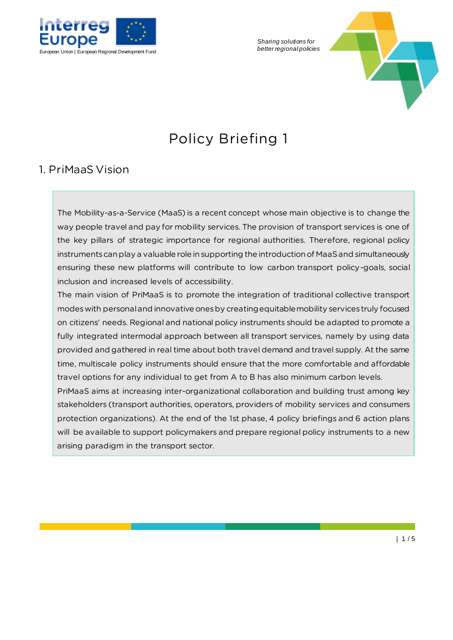

*Sharing solutions for* 



# Policy Briefing 1

#### 1. PriMaaS Vision

The Mobility-as-a-Service (MaaS) is a recent concept whose main objective is to change the way people travel and pay for mobility services. The provision of transport services is one of the key pillars of strategic importance for regional authorities. Therefore, regional policy instruments can play a valuable role in supporting the introduction of MaaS and simultaneously ensuring these new platforms will contribute to low carbon transport policy-goals, social inclusion and increased levels of accessibility.

The main vision of PriMaaS is to promote the integration of traditional collective transport modes with personal and innovative ones by creating equitable mobility services truly focused on citizens' needs. Regional and national policy instruments should be adapted to promote a fully integrated intermodal approach between all transport services, namely by using data provided and gathered in real time about both travel demand and travel supply. At the same time, multiscale policy instruments should ensure that the more comfortable and affordable travel options for any individual to get from A to B has also minimum carbon levels.

PriMaaS aims at increasing inter-organizational collaboration and building trust among key stakeholders (transport authorities, operators, providers of mobility services and consumers protection organizations). At the end of the 1st phase, 4 policy briefings and 6 action plans will be available to support policymakers and prepare regional policy instruments to a new arising paradigm in the transport sector.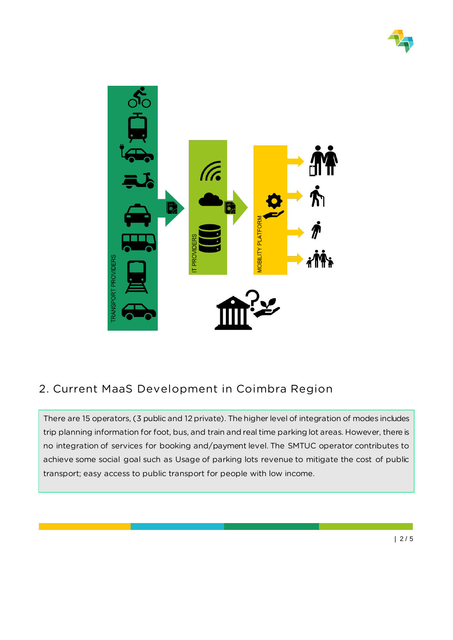



### 2. Current MaaS Development in Coimbra Region

There are 15 operators, (3 public and 12 private). The higher level of integration of modes includes trip planning information for foot, bus, and train and real time parking lot areas. However, there is no integration of services for booking and/payment level. The SMTUC operator contributes to achieve some social goal such as Usage of parking lots revenue to mitigate the cost of public transport; easy access to public transport for people with low income.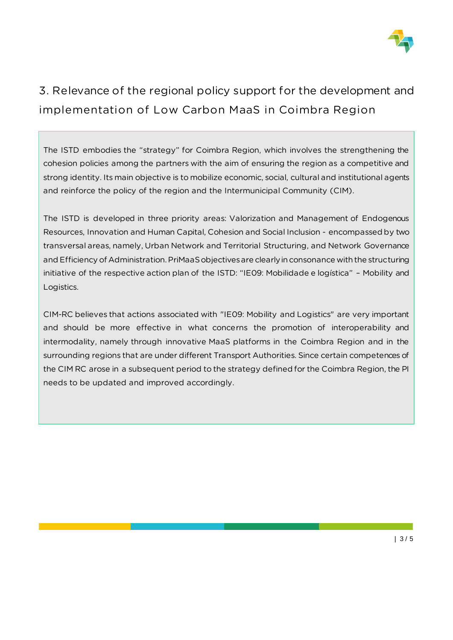

## 3. Relevance of the regional policy support for the development and implementation of Low Carbon MaaS in Coimbra Region

The ISTD embodies the "strategy" for Coimbra Region, which involves the strengthening the cohesion policies among the partners with the aim of ensuring the region as a competitive and strong identity. Its main objective is to mobilize economic, social, cultural and institutional agents and reinforce the policy of the region and the Intermunicipal Community (CIM).

The ISTD is developed in three priority areas: Valorization and Management of Endogenous Resources, Innovation and Human Capital, Cohesion and Social Inclusion - encompassed by two transversal areas, namely, Urban Network and Territorial Structuring, and Network Governance and Efficiency of Administration. PriMaaS objectives are clearly in consonance with the structuring initiative of the respective action plan of the ISTD: "IE09: Mobilidade e logística" – Mobility and Logistics.

CIM-RC believes that actions associated with "IE09: Mobility and Logistics" are very important and should be more effective in what concerns the promotion of interoperability and intermodality, namely through innovative MaaS platforms in the Coimbra Region and in the surrounding regions that are under different Transport Authorities. Since certain competences of the CIM RC arose in a subsequent period to the strategy defined for the Coimbra Region, the PI needs to be updated and improved accordingly.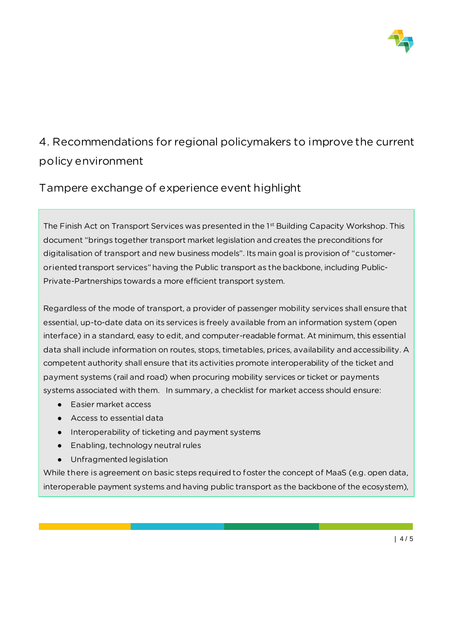

### 4. Recommendations for regional policymakers to improve the current policy environment

Tampere exchange of experience event highlight

The Finish Act on Transport Services was presented in the 1<sup>st</sup> Building Capacity Workshop. This document "brings together transport market legislation and creates the preconditions for digitalisation of transport and new business models". Its main goal is provision of "customeroriented transport services" having the Public transport as the backbone, including Public-Private-Partnerships towards a more efficient transport system.

Regardless of the mode of transport, a provider of passenger mobility services shall ensure that essential, up-to-date data on its services is freely available from an information system (open interface) in a standard, easy to edit, and computer-readable format. At minimum, this essential data shall include information on routes, stops, timetables, prices, availability and accessibility. A competent authority shall ensure that its activities promote interoperability of the ticket and payment systems (rail and road) when procuring mobility services or ticket or payments systems associated with them. In summary, a checklist for market access should ensure:

- Easier market access
- Access to essential data
- Interoperability of ticketing and payment systems
- Enabling, technology neutral rules
- Unfragmented legislation

While there is agreement on basic steps required to foster the concept of MaaS (e.g. open data, interoperable payment systems and having public transport as the backbone of the ecosystem),